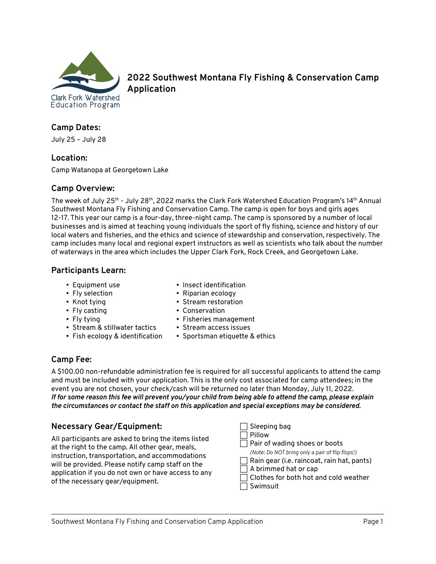

**2022 Southwest Montana Fly Fishing & Conservation Camp Application**

# **Camp Dates:**

July 25 – July 28

### **Location:**

Camp Watanopa at Georgetown Lake

#### **Camp Overview:**

The week of July 25th - July 28th, 2022 marks the Clark Fork Watershed Education Program's 14th Annual Southwest Montana Fly Fishing and Conservation Camp. The camp is open for boys and girls ages 12-17. This year our camp is a four-day, three-night camp. The camp is sponsored by a number of local businesses and is aimed at teaching young individuals the sport of fly fishing, science and history of our local waters and fisheries, and the ethics and science of stewardship and conservation, respectively. The camp includes many local and regional expert instructors as well as scientists who talk about the number of waterways in the area which includes the Upper Clark Fork, Rock Creek, and Georgetown Lake.

# **Participants Learn:**

- Equipment use
- Fly selection
- Knot tying
- Fly casting
- Fly tying
- Stream & stillwater tactics
- Fish ecology & identification
- Insect identification
- Riparian ecology
- Stream restoration
- Conservation
- Fisheries management
- Stream access issues
- Sportsman etiquette & ethics

# **Camp Fee:**

A \$100.00 non-refundable administration fee is required for all successful applicants to attend the camp and must be included with your application. This is the only cost associated for camp attendees; in the event you are not chosen, your check/cash will be returned no later than Monday, July 11, 2022. *If for some reason this fee will prevent you/your child from being able to attend the camp, please explain the circumstances or contact the staff on this application and special exceptions may be considered.*

# **Necessary Gear/Equipment:**

All participants are asked to bring the items listed at the right to the camp. All other gear, meals, instruction, transportation, and accommodations will be provided. Please notify camp staff on the application if you do not own or have access to any of the necessary gear/equipment.

- $\exists$  Sleeping bag
- $\Box$  Pillow
- $\Box$  Pair of wading shoes or boots
	- *(Note: Do NOT bring only a pair of flip flops!)*
- $\Box$  Rain gear (i.e. raincoat, rain hat, pants)
- $\Box$  A brimmed hat or cap
- $\Box$  Clothes for both hot and cold weather
- $\Box$  Swimsuit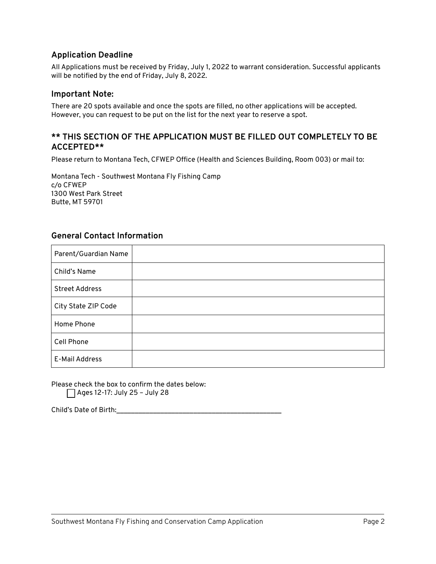## **Application Deadline**

All Applications must be received by Friday, July 1, 2022 to warrant consideration. Successful applicants will be notified by the end of Friday, July 8, 2022.

#### **Important Note:**

There are 20 spots available and once the spots are filled, no other applications will be accepted. However, you can request to be put on the list for the next year to reserve a spot.

## **\*\* THIS SECTION OF THE APPLICATION MUST BE FILLED OUT COMPLETELY TO BE ACCEPTED\*\***

Please return to Montana Tech, CFWEP Office (Health and Sciences Building, Room 003) or mail to:

Montana Tech - Southwest Montana Fly Fishing Camp c/o CFWEP 1300 West Park Street Butte, MT 59701

### **General Contact Information**

| Parent/Guardian Name  |  |
|-----------------------|--|
| Child's Name          |  |
| <b>Street Address</b> |  |
| City State ZIP Code   |  |
| Home Phone            |  |
| Cell Phone            |  |
| E-Mail Address        |  |

Please check the box to confirm the dates below:  $\Box$  Ages 12-17: July 25 - July 28

Child's Date of Birth: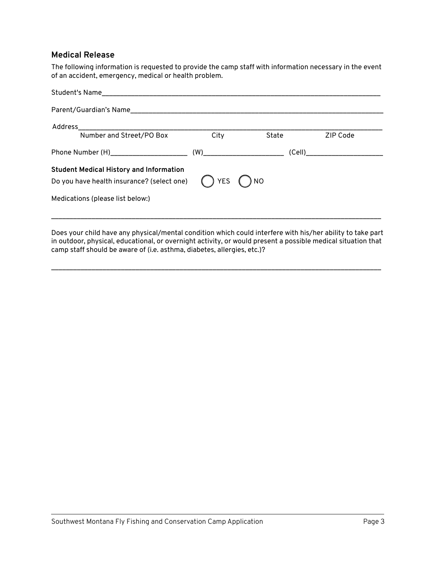#### **Medical Release**

The following information is requested to provide the camp staff with information necessary in the event of an accident, emergency, medical or health problem.

| Parent/Guardian's Name                         |               |       |                                  |
|------------------------------------------------|---------------|-------|----------------------------------|
| Address                                        |               |       |                                  |
| Number and Street/PO Box                       | City          | State | ZIP Code                         |
|                                                |               |       | (Cell)__________________________ |
| <b>Student Medical History and Information</b> |               |       |                                  |
| Do you have health insurance? (select one)     | $()$ YES $()$ | ) NO  |                                  |
| Medications (please list below:)               |               |       |                                  |
|                                                |               |       |                                  |

Does your child have any physical/mental condition which could interfere with his/her ability to take part in outdoor, physical, educational, or overnight activity, or would present a possible medical situation that camp staff should be aware of (i.e. asthma, diabetes, allergies, etc.)?

\_\_\_\_\_\_\_\_\_\_\_\_\_\_\_\_\_\_\_\_\_\_\_\_\_\_\_\_\_\_\_\_\_\_\_\_\_\_\_\_\_\_\_\_\_\_\_\_\_\_\_\_\_\_\_\_\_\_\_\_\_\_\_\_\_\_\_\_\_\_\_\_\_\_\_\_\_\_\_\_\_\_\_\_\_\_\_\_\_\_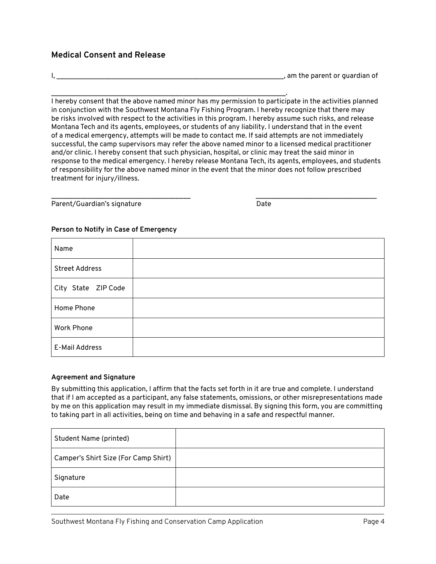## **Medical Consent and Release**

I, the same of the same of the same of the same of the same of the parent or quardian of

\_\_\_\_\_\_\_\_\_\_\_\_\_\_\_\_\_\_\_\_\_\_\_\_\_\_\_\_\_\_\_\_\_\_\_\_\_\_\_\_\_\_\_\_\_\_\_\_\_\_\_\_\_\_\_\_\_\_\_\_\_\_\_\_. I hereby consent that the above named minor has my permission to participate in the activities planned in conjunction with the Southwest Montana Fly Fishing Program. I hereby recognize that there may be risks involved with respect to the activities in this program. I hereby assume such risks, and release Montana Tech and its agents, employees, or students of any liability. I understand that in the event of a medical emergency, attempts will be made to contact me. If said attempts are not immediately successful, the camp supervisors may refer the above named minor to a licensed medical practitioner and/or clinic. I hereby consent that such physician, hospital, or clinic may treat the said minor in response to the medical emergency. I hereby release Montana Tech, its agents, employees, and students of responsibility for the above named minor in the event that the minor does not follow prescribed treatment for injury/illness.

\_\_\_\_\_\_\_\_\_\_\_\_\_\_\_\_\_\_\_\_\_\_\_\_\_\_\_\_\_\_\_\_\_\_\_\_\_\_ \_\_\_\_\_\_\_\_\_\_\_\_\_\_\_\_\_\_\_\_\_\_\_\_\_\_\_\_\_\_\_\_\_ Parent/Guardian's signature Date Date

#### **Person to Notify in Case of Emergency**

| Name                  |  |
|-----------------------|--|
| <b>Street Address</b> |  |
| City State ZIP Code   |  |
| Home Phone            |  |
| <b>Work Phone</b>     |  |
| E-Mail Address        |  |

#### **Agreement and Signature**

By submitting this application, I affirm that the facts set forth in it are true and complete. I understand that if I am accepted as a participant, any false statements, omissions, or other misrepresentations made by me on this application may result in my immediate dismissal. By signing this form, you are committing to taking part in all activities, being on time and behaving in a safe and respectful manner.

| <b>Student Name (printed)</b>        |  |
|--------------------------------------|--|
| Camper's Shirt Size (For Camp Shirt) |  |
| Signature                            |  |
| Date                                 |  |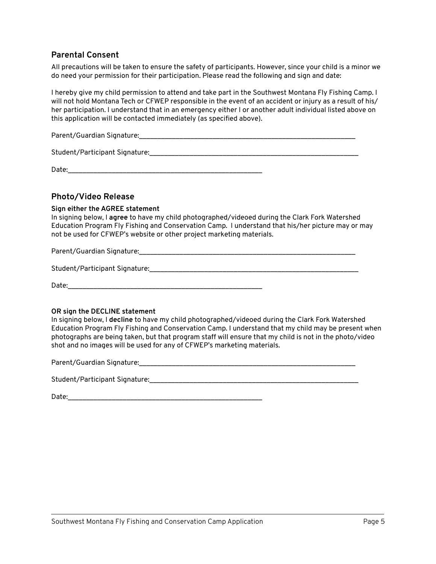# **Parental Consent**

All precautions will be taken to ensure the safety of participants. However, since your child is a minor we do need your permission for their participation. Please read the following and sign and date:

I hereby give my child permission to attend and take part in the Southwest Montana Fly Fishing Camp. I will not hold Montana Tech or CFWEP responsible in the event of an accident or injury as a result of his/ her participation. I understand that in an emergency either I or another adult individual listed above on this application will be contacted immediately (as specified above).

Parent/Guardian Signature:\_\_\_\_\_\_\_\_\_\_\_\_\_\_\_\_\_\_\_\_\_\_\_\_\_\_\_\_\_\_\_\_\_\_\_\_\_\_\_\_\_\_\_\_\_\_\_\_\_\_\_\_\_\_\_\_\_\_\_

Student/Participant Signature:\_\_\_\_\_\_\_\_\_\_\_\_\_\_\_\_\_\_\_\_\_\_\_\_\_\_\_\_\_\_\_\_\_\_\_\_\_\_\_\_\_\_\_\_\_\_\_\_\_\_\_\_\_\_\_\_\_

Date:

#### **Photo/Video Release**

#### **Sign either the AGREE statement**

In signing below, I **agree** to have my child photographed/videoed during the Clark Fork Watershed Education Program Fly Fishing and Conservation Camp. I understand that his/her picture may or may not be used for CFWEP's website or other project marketing materials.

Parent/Guardian Signature:  $\Box$ 

Student/Participant Signature:  $\Box$ 

Date:

#### **OR sign the DECLINE statement**

In signing below, I **decline** to have my child photographed/videoed during the Clark Fork Watershed Education Program Fly Fishing and Conservation Camp. I understand that my child may be present when photographs are being taken, but that program staff will ensure that my child is not in the photo/video shot and no images will be used for any of CFWEP's marketing materials.

Parent/Guardian Signature:\_\_\_\_\_\_\_\_\_\_\_\_\_\_\_\_\_\_\_\_\_\_\_\_\_\_\_\_\_\_\_\_\_\_\_\_\_\_\_\_\_\_\_\_\_\_\_\_\_\_\_\_\_\_\_\_\_\_\_

Student/Participant Signature:  $\Box$ 

| Date: |  |  |  |
|-------|--|--|--|
|       |  |  |  |